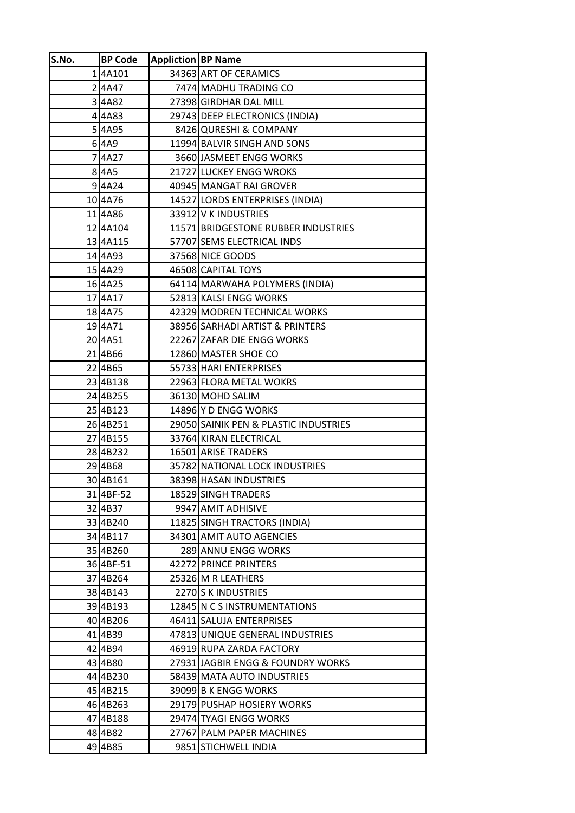| S.No. | <b>BP Code</b>      | <b>Appliction BP Name</b> |                                       |
|-------|---------------------|---------------------------|---------------------------------------|
|       | 14A101              |                           | 34363 ART OF CERAMICS                 |
|       | 2 4A47              |                           | 7474 MADHU TRADING CO                 |
|       | 34A82               |                           | 27398 GIRDHAR DAL MILL                |
|       | 44A83               |                           | 29743 DEEP ELECTRONICS (INDIA)        |
|       | 54A95               |                           | 8426 QURESHI & COMPANY                |
|       | $6$ 4A9             |                           | 11994 BALVIR SINGH AND SONS           |
|       | 74A27               |                           | 3660 JASMEET ENGG WORKS               |
|       | 8 4A5               |                           | 21727 LUCKEY ENGG WROKS               |
|       | $9$ 4A24            |                           | 40945 MANGAT RAI GROVER               |
|       | 104A76              |                           | 14527 LORDS ENTERPRISES (INDIA)       |
|       | 114A86              |                           | 33912 V K INDUSTRIES                  |
|       | 124A104             |                           | 11571 BRIDGESTONE RUBBER INDUSTRIES   |
|       | 134A115             |                           | 57707 SEMS ELECTRICAL INDS            |
|       | 14 4 4 9 3          |                           | 37568 NICE GOODS                      |
|       | 15 4A29             |                           | 46508 CAPITAL TOYS                    |
|       | 164A25              |                           | 64114 MARWAHA POLYMERS (INDIA)        |
|       | 174A17              |                           | 52813 KALSI ENGG WORKS                |
|       | 18 4A75             |                           | 42329 MODREN TECHNICAL WORKS          |
|       | 194A71              |                           | 38956 SARHADI ARTIST & PRINTERS       |
|       | 20 <sub>4</sub> A51 |                           | 22267 ZAFAR DIE ENGG WORKS            |
|       | 21 4B66             |                           | 12860 MASTER SHOE CO                  |
|       | 22 4B65             |                           | 55733 HARI ENTERPRISES                |
|       | 234B138             |                           | 22963 FLORA METAL WOKRS               |
|       | 244B255             |                           | 36130 MOHD SALIM                      |
|       | 25 4B123            |                           | 14896 Y D ENGG WORKS                  |
|       | 26 4B251            |                           | 29050 SAINIK PEN & PLASTIC INDUSTRIES |
|       | 274B155             |                           | 33764 KIRAN ELECTRICAL                |
|       | 284B232             |                           | 16501 ARISE TRADERS                   |
|       | 294B68              |                           | 35782 NATIONAL LOCK INDUSTRIES        |
|       | 30 4B161            |                           | 38398 HASAN INDUSTRIES                |
|       | 314BF-52            |                           | 18529 SINGH TRADERS                   |
|       | 32 4B37             |                           | 9947 AMIT ADHISIVE                    |
|       | 33 4B240            |                           | 11825 SINGH TRACTORS (INDIA)          |
|       | 344B117             |                           | 34301 AMIT AUTO AGENCIES              |
|       | 35 4B260            |                           | 289 ANNU ENGG WORKS                   |
|       | 36 4BF-51           |                           | 42272 PRINCE PRINTERS                 |
|       | 37 4B264            |                           | 25326 M R LEATHERS                    |
|       | 38 4B143            |                           | 2270 S K INDUSTRIES                   |
|       | 394B193             |                           | 12845 N C S INSTRUMENTATIONS          |
|       | 40 4B206            |                           | 46411 SALUJA ENTERPRISES              |
|       | 41 4B39             |                           | 47813 UNIQUE GENERAL INDUSTRIES       |
|       | 42 4B94             |                           | 46919 RUPA ZARDA FACTORY              |
|       | 43 4B80             |                           | 27931 JAGBIR ENGG & FOUNDRY WORKS     |
|       | 44 4B230            |                           | 58439 MATA AUTO INDUSTRIES            |
|       | 45 4B215            |                           | 39099 B K ENGG WORKS                  |
|       | 46 4B263            |                           | 29179 PUSHAP HOSIERY WORKS            |
|       | 47 4B188            |                           | 29474 TYAGI ENGG WORKS                |
|       | 48 4B82             |                           | 27767 PALM PAPER MACHINES             |
|       |                     |                           |                                       |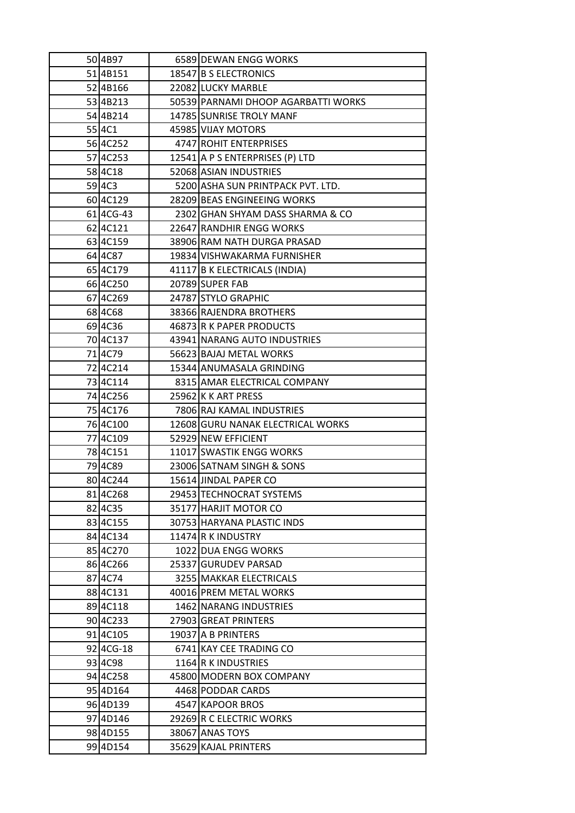| 50 4B97             | 6589 DEWAN ENGG WORKS               |
|---------------------|-------------------------------------|
| 51 4B151            | 18547 B S ELECTRONICS               |
| 52 4B166            | 22082 LUCKY MARBLE                  |
| 53 4B213            | 50539 PARNAMI DHOOP AGARBATTI WORKS |
| 54 4B214            | 14785 SUNRISE TROLY MANF            |
| 55 4C1              | 45985 VIJAY MOTORS                  |
| 56 4C252            | 4747 ROHIT ENTERPRISES              |
| 574C253             | 12541 A P S ENTERPRISES (P) LTD     |
| 58 4 C 18           | 52068 ASIAN INDUSTRIES              |
| 59 4 C <sub>3</sub> | 5200 ASHA SUN PRINTPACK PVT. LTD.   |
| 60 4 C 129          | 28209 BEAS ENGINEEING WORKS         |
| 61 4CG-43           | 2302 GHAN SHYAM DASS SHARMA & CO    |
| 62 4 C121           | 22647 RANDHIR ENGG WORKS            |
| 63 4C159            | 38906 RAM NATH DURGA PRASAD         |
| 64 4 C 87           | 19834 VISHWAKARMA FURNISHER         |
| 65 4C179            | 41117 B K ELECTRICALS (INDIA)       |
| 66 4C250            | 20789 SUPER FAB                     |
| 67 4 C 2 6 9        | 24787 STYLO GRAPHIC                 |
| 68 4 C 68           | 38366 RAJENDRA BROTHERS             |
| 69 4C36             | 46873 R K PAPER PRODUCTS            |
| 70 4C137            | 43941 NARANG AUTO INDUSTRIES        |
| 71 <sub>4C79</sub>  | 56623 BAJAJ METAL WORKS             |
| 72 4C214            | 15344 ANUMASALA GRINDING            |
| 73 4 C 1 1 4        | 8315 AMAR ELECTRICAL COMPANY        |
| 74 4 C 256          | 25962 K K ART PRESS                 |
| 75 4C176            | 7806 RAJ KAMAL INDUSTRIES           |
| 76 4C100            | 12608 GURU NANAK ELECTRICAL WORKS   |
| 77 4C109            | 52929 NEW EFFICIENT                 |
| 78 4 C 151          | 11017 SWASTIK ENGG WORKS            |
| 794C89              | 23006 SATNAM SINGH & SONS           |
| 80 4C244            | 15614 JINDAL PAPER CO               |
| 81 4 C 268          | 29453 TECHNOCRAT SYSTEMS            |
| 82 4C35             | 35177 HARJIT MOTOR CO               |
| 83 4 C 155          | 30753 HARYANA PLASTIC INDS          |
| 84 4 C134           | 11474 R K INDUSTRY                  |
| 85 4 C 2 7 0        | 1022 DUA ENGG WORKS                 |
| 86 4 C 266          | 25337 GURUDEV PARSAD                |
| 87 4 C 74           | 3255 MAKKAR ELECTRICALS             |
| 88 4 C 1 3 1        | 40016 PREM METAL WORKS              |
| 89 4 C 1 1 8        | 1462 NARANG INDUSTRIES              |
| 90 4 C 2 3 3        | 27903 GREAT PRINTERS                |
| 91 4 C 10 5         | 19037 A B PRINTERS                  |
| 92 4 CG-18          | 6741 KAY CEE TRADING CO             |
| 93 4 C 98           | 1164 R K INDUSTRIES                 |
| 94 4C258            | 45800 MODERN BOX COMPANY            |
| 95 4D164            | 4468 PODDAR CARDS                   |
| 96 4D139            | 4547 KAPOOR BROS                    |
| 97 4D146            | 29269 R C ELECTRIC WORKS            |
| 98 4 D155           | 38067 ANAS TOYS                     |
| 99 4D154            | 35629 KAJAL PRINTERS                |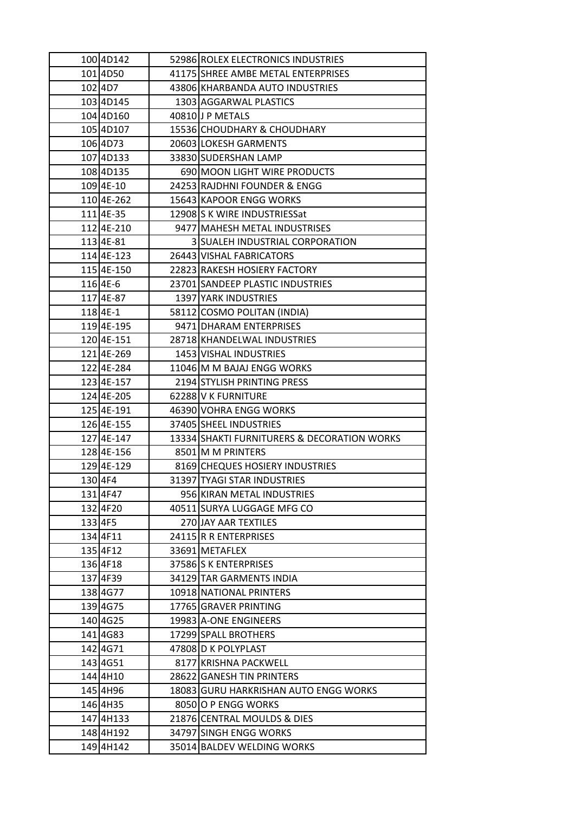| 100 4D142              | 52986 ROLEX ELECTRONICS INDUSTRIES          |
|------------------------|---------------------------------------------|
| 101 4D50               | 41175 SHREE AMBE METAL ENTERPRISES          |
| 102 4D7                | 43806 KHARBANDA AUTO INDUSTRIES             |
| 103 4D145              | 1303 AGGARWAL PLASTICS                      |
| 104 4D160              | 40810 J P METALS                            |
| 105 4D107              | 15536 CHOUDHARY & CHOUDHARY                 |
| 106 4D73               | 20603 LOKESH GARMENTS                       |
| 107 4D133              | 33830 SUDERSHAN LAMP                        |
| 108 4D135              | 690 MOON LIGHT WIRE PRODUCTS                |
| 109 4E-10              | 24253 RAJDHNI FOUNDER & ENGG                |
| 110 4 E-262            | 15643 KAPOOR ENGG WORKS                     |
| 1114E-35               | 12908 S K WIRE INDUSTRIESSat                |
| 1124E-210              | 9477 MAHESH METAL INDUSTRISES               |
| 113 4E-81              | 3 SUALEH INDUSTRIAL CORPORATION             |
| 114 4 E-123            | 26443 VISHAL FABRICATORS                    |
| 115 4E-150             | 22823 RAKESH HOSIERY FACTORY                |
| 116 4E-6               | 23701 SANDEEP PLASTIC INDUSTRIES            |
| 117 4 E-87             | 1397 YARK INDUSTRIES                        |
| 118 4E-1               | 58112 COSMO POLITAN (INDIA)                 |
| 1194E-195              | 9471 DHARAM ENTERPRISES                     |
| 120 4 E-151            | 28718 KHANDELWAL INDUSTRIES                 |
| 1214E-269              | 1453 VISHAL INDUSTRIES                      |
| 122 4E-284             | 11046 M M BAJAJ ENGG WORKS                  |
| 123 4E-157             | 2194 STYLISH PRINTING PRESS                 |
| 1244E-205              | 62288 V K FURNITURE                         |
|                        |                                             |
| 125 4E-191             | 46390 VOHRA ENGG WORKS                      |
| 1264E-155              | 37405 SHEEL INDUSTRIES                      |
| 127 4E-147             | 13334 SHAKTI FURNITURERS & DECORATION WORKS |
| 1284E-156              | 8501 M M PRINTERS                           |
| 1294E-129              | 8169 CHEQUES HOSIERY INDUSTRIES             |
| 130 4F4                | 31397 TYAGI STAR INDUSTRIES                 |
| 131 4F47               | 956 KIRAN METAL INDUSTRIES                  |
| 132 4F20               | 40511 SURYA LUGGAGE MFG CO                  |
| 133 4F5                | 270 JAY AAR TEXTILES                        |
| 134 4F11               | 24115 R R ENTERPRISES                       |
| 135 4F12               | 33691 METAFLEX                              |
| 136 4F18               | 37586 S K ENTERPRISES                       |
| 137 4F39               | 34129 TAR GARMENTS INDIA                    |
| 138 4G77               | 10918 NATIONAL PRINTERS                     |
| 139 4 G 75             | 17765 GRAVER PRINTING                       |
| 140 4G25               | 19983 A-ONE ENGINEERS                       |
| 141 4 G 8 3            | 17299 SPALL BROTHERS                        |
| 142 4G71               | 47808 D K POLYPLAST                         |
| 143 4G51               | 8177 KRISHNA PACKWELL                       |
| 144 4H10               | 28622 GANESH TIN PRINTERS                   |
| 145 4H96               | 18083 GURU HARKRISHAN AUTO ENGG WORKS       |
| 146 4H35               | 8050 O P ENGG WORKS                         |
| 147 4H133              | 21876 CENTRAL MOULDS & DIES                 |
| 148 4H192<br>149 4H142 | 34797 SINGH ENGG WORKS                      |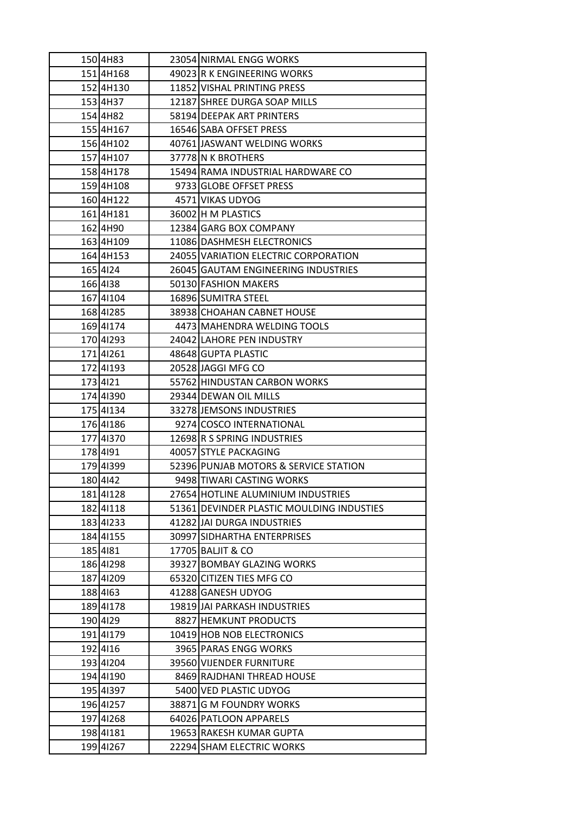|          | 150 4H83  | 23054 NIRMAL ENGG WORKS                   |
|----------|-----------|-------------------------------------------|
|          | 151 4H168 | 49023 R K ENGINEERING WORKS               |
|          | 152 4H130 | 11852 VISHAL PRINTING PRESS               |
|          | 153 4H37  | 12187 SHREE DURGA SOAP MILLS              |
|          | 154 4H82  | 58194 DEEPAK ART PRINTERS                 |
|          | 155 4H167 | 16546 SABA OFFSET PRESS                   |
|          | 156 4H102 | 40761 JASWANT WELDING WORKS               |
|          | 1574H107  | 37778 N K BROTHERS                        |
|          | 158 4H178 | 15494 RAMA INDUSTRIAL HARDWARE CO         |
|          | 1594H108  | 9733 GLOBE OFFSET PRESS                   |
|          | 160 4H122 | 4571 VIKAS UDYOG                          |
|          | 1614H181  | 36002 H M PLASTICS                        |
|          | 162 4H90  | 12384 GARG BOX COMPANY                    |
|          | 163 4H109 | 11086 DASHMESH ELECTRONICS                |
|          | 164 4H153 | 24055 VARIATION ELECTRIC CORPORATION      |
| 165 424  |           | 26045 GAUTAM ENGINEERING INDUSTRIES       |
| 166 4138 |           | 50130 FASHION MAKERS                      |
|          | 167 41104 | 16896 SUMITRA STEEL                       |
|          | 168 4 285 | 38938 CHOAHAN CABNET HOUSE                |
|          | 169 41174 | 4473 MAHENDRA WELDING TOOLS               |
|          | 170 41293 | 24042 LAHORE PEN INDUSTRY                 |
|          | 17141261  | 48648 GUPTA PLASTIC                       |
|          | 17241193  | 20528 JAGGI MFG CO                        |
| 173 421  |           | 55762 HINDUSTAN CARBON WORKS              |
|          | 174 41390 | 29344 DEWAN OIL MILLS                     |
|          | 175 41134 | 33278 JEMSONS INDUSTRIES                  |
|          | 176 41186 | 9274 COSCO INTERNATIONAL                  |
|          | 177 41370 | 12698 R S SPRING INDUSTRIES               |
| 178 4191 |           | 40057 STYLE PACKAGING                     |
|          | 179 41399 | 52396 PUNJAB MOTORS & SERVICE STATION     |
| 180 442  |           | 9498 TIWARI CASTING WORKS                 |
|          | 181 4 128 | 27654 HOTLINE ALUMINIUM INDUSTRIES        |
|          | 182 41118 | 51361 DEVINDER PLASTIC MOULDING INDUSTIES |
|          | 183 4233  | 41282 JAI DURGA INDUSTRIES                |
|          | 184 41155 | 30997 SIDHARTHA ENTERPRISES               |
| 185 4181 |           | 17705 BALJIT & CO                         |
|          | 186 41298 | 39327 BOMBAY GLAZING WORKS                |
|          | 187 41209 | 65320 CITIZEN TIES MFG CO                 |
| 188 4163 |           | 41288 GANESH UDYOG                        |
|          | 189 41178 | 19819 JJAI PARKASH INDUSTRIES             |
| 190 4 29 |           | 8827 HEMKUNT PRODUCTS                     |
|          | 191 41179 | 10419 HOB NOB ELECTRONICS                 |
|          |           | 3965 PARAS ENGG WORKS                     |
| 192 4116 |           |                                           |
|          | 193 41204 | 39560 VIJENDER FURNITURE                  |
|          | 194 41190 | 8469 RAJDHANI THREAD HOUSE                |
|          | 195 41397 | 5400 VED PLASTIC UDYOG                    |
|          | 196 41257 | 38871 G M FOUNDRY WORKS                   |
|          | 197 41268 | 64026 PATLOON APPARELS                    |
|          | 198 41181 | 19653 RAKESH KUMAR GUPTA                  |
|          | 199 41267 | 22294 SHAM ELECTRIC WORKS                 |